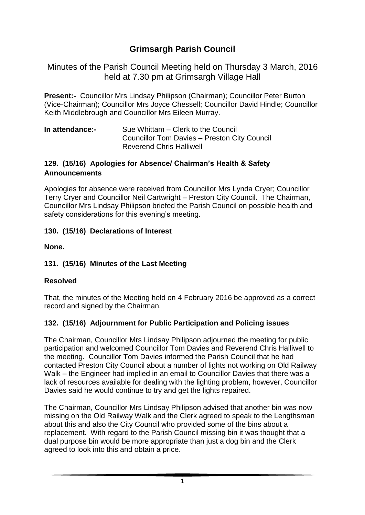# **Grimsargh Parish Council**

Minutes of the Parish Council Meeting held on Thursday 3 March, 2016 held at 7.30 pm at Grimsargh Village Hall

**Present:-** Councillor Mrs Lindsay Philipson (Chairman); Councillor Peter Burton (Vice-Chairman); Councillor Mrs Joyce Chessell; Councillor David Hindle; Councillor Keith Middlebrough and Councillor Mrs Eileen Murray.

**In attendance:-** Sue Whittam – Clerk to the Council Councillor Tom Davies – Preston City Council Reverend Chris Halliwell

#### **129. (15/16) Apologies for Absence/ Chairman's Health & Safety Announcements**

Apologies for absence were received from Councillor Mrs Lynda Cryer; Councillor Terry Cryer and Councillor Neil Cartwright – Preston City Council. The Chairman, Councillor Mrs Lindsay Philipson briefed the Parish Council on possible health and safety considerations for this evening's meeting.

### **130. (15/16) Declarations of Interest**

**None.**

#### **131. (15/16) Minutes of the Last Meeting**

#### **Resolved**

That, the minutes of the Meeting held on 4 February 2016 be approved as a correct record and signed by the Chairman.

### **132. (15/16) Adjournment for Public Participation and Policing issues**

The Chairman, Councillor Mrs Lindsay Philipson adjourned the meeting for public participation and welcomed Councillor Tom Davies and Reverend Chris Halliwell to the meeting. Councillor Tom Davies informed the Parish Council that he had contacted Preston City Council about a number of lights not working on Old Railway Walk – the Engineer had implied in an email to Councillor Davies that there was a lack of resources available for dealing with the lighting problem, however, Councillor Davies said he would continue to try and get the lights repaired.

The Chairman, Councillor Mrs Lindsay Philipson advised that another bin was now missing on the Old Railway Walk and the Clerk agreed to speak to the Lengthsman about this and also the City Council who provided some of the bins about a replacement. With regard to the Parish Council missing bin it was thought that a dual purpose bin would be more appropriate than just a dog bin and the Clerk agreed to look into this and obtain a price.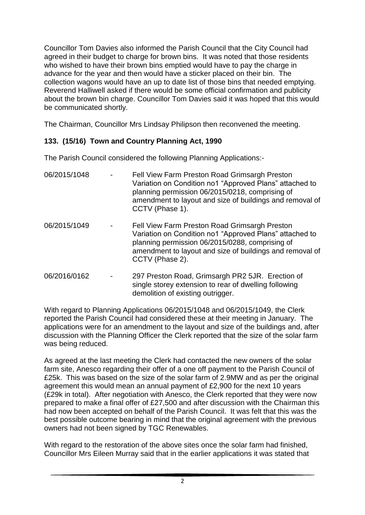Councillor Tom Davies also informed the Parish Council that the City Council had agreed in their budget to charge for brown bins. It was noted that those residents who wished to have their brown bins emptied would have to pay the charge in advance for the year and then would have a sticker placed on their bin. The collection wagons would have an up to date list of those bins that needed emptying. Reverend Halliwell asked if there would be some official confirmation and publicity about the brown bin charge. Councillor Tom Davies said it was hoped that this would be communicated shortly.

The Chairman, Councillor Mrs Lindsay Philipson then reconvened the meeting.

### **133. (15/16) Town and Country Planning Act, 1990**

The Parish Council considered the following Planning Applications:-

| 06/2015/1048 | Fell View Farm Preston Road Grimsargh Preston<br>Variation on Condition no1 "Approved Plans" attached to<br>planning permission 06/2015/0218, comprising of<br>amendment to layout and size of buildings and removal of<br>CCTV (Phase 1). |
|--------------|--------------------------------------------------------------------------------------------------------------------------------------------------------------------------------------------------------------------------------------------|
| 06/2015/1049 | Fell View Farm Preston Road Grimsargh Preston<br>Variation on Condition no1 "Approved Plans" attached to<br>planning permission 06/2015/0288, comprising of<br>amendment to layout and size of buildings and removal of<br>CCTV (Phase 2). |
| 06/2016/0162 | 297 Preston Road, Grimsargh PR2 5JR. Erection of<br>single storey extension to rear of dwelling following<br>demolition of existing outrigger.                                                                                             |

With regard to Planning Applications 06/2015/1048 and 06/2015/1049, the Clerk reported the Parish Council had considered these at their meeting in January. The applications were for an amendment to the layout and size of the buildings and, after discussion with the Planning Officer the Clerk reported that the size of the solar farm was being reduced.

As agreed at the last meeting the Clerk had contacted the new owners of the solar farm site, Anesco regarding their offer of a one off payment to the Parish Council of £25k. This was based on the size of the solar farm of 2.9MW and as per the original agreement this would mean an annual payment of £2,900 for the next 10 years (£29k in total). After negotiation with Anesco, the Clerk reported that they were now prepared to make a final offer of £27,500 and after discussion with the Chairman this had now been accepted on behalf of the Parish Council. It was felt that this was the best possible outcome bearing in mind that the original agreement with the previous owners had not been signed by TGC Renewables.

With regard to the restoration of the above sites once the solar farm had finished, Councillor Mrs Eileen Murray said that in the earlier applications it was stated that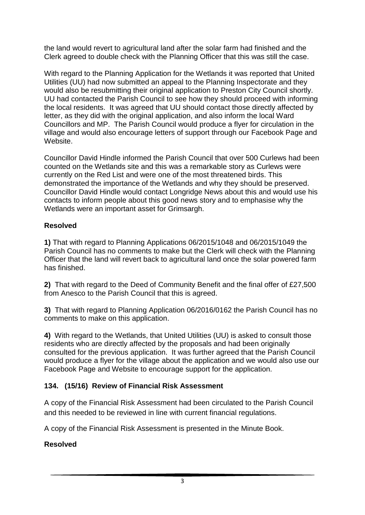the land would revert to agricultural land after the solar farm had finished and the Clerk agreed to double check with the Planning Officer that this was still the case.

With regard to the Planning Application for the Wetlands it was reported that United Utilities (UU) had now submitted an appeal to the Planning Inspectorate and they would also be resubmitting their original application to Preston City Council shortly. UU had contacted the Parish Council to see how they should proceed with informing the local residents. It was agreed that UU should contact those directly affected by letter, as they did with the original application, and also inform the local Ward Councillors and MP. The Parish Council would produce a flyer for circulation in the village and would also encourage letters of support through our Facebook Page and Website.

Councillor David Hindle informed the Parish Council that over 500 Curlews had been counted on the Wetlands site and this was a remarkable story as Curlews were currently on the Red List and were one of the most threatened birds. This demonstrated the importance of the Wetlands and why they should be preserved. Councillor David Hindle would contact Longridge News about this and would use his contacts to inform people about this good news story and to emphasise why the Wetlands were an important asset for Grimsargh.

#### **Resolved**

**1)** That with regard to Planning Applications 06/2015/1048 and 06/2015/1049 the Parish Council has no comments to make but the Clerk will check with the Planning Officer that the land will revert back to agricultural land once the solar powered farm has finished.

**2)** That with regard to the Deed of Community Benefit and the final offer of £27,500 from Anesco to the Parish Council that this is agreed.

**3)** That with regard to Planning Application 06/2016/0162 the Parish Council has no comments to make on this application.

**4)** With regard to the Wetlands, that United Utilities (UU) is asked to consult those residents who are directly affected by the proposals and had been originally consulted for the previous application. It was further agreed that the Parish Council would produce a flyer for the village about the application and we would also use our Facebook Page and Website to encourage support for the application.

#### **134. (15/16) Review of Financial Risk Assessment**

A copy of the Financial Risk Assessment had been circulated to the Parish Council and this needed to be reviewed in line with current financial regulations.

A copy of the Financial Risk Assessment is presented in the Minute Book.

#### **Resolved**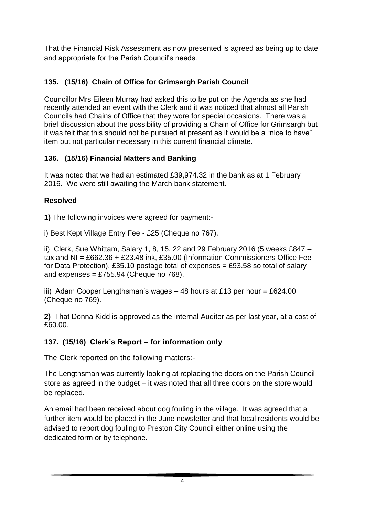That the Financial Risk Assessment as now presented is agreed as being up to date and appropriate for the Parish Council's needs.

# **135. (15/16) Chain of Office for Grimsargh Parish Council**

Councillor Mrs Eileen Murray had asked this to be put on the Agenda as she had recently attended an event with the Clerk and it was noticed that almost all Parish Councils had Chains of Office that they wore for special occasions. There was a brief discussion about the possibility of providing a Chain of Office for Grimsargh but it was felt that this should not be pursued at present as it would be a "nice to have" item but not particular necessary in this current financial climate.

# **136. (15/16) Financial Matters and Banking**

It was noted that we had an estimated £39,974.32 in the bank as at 1 February 2016. We were still awaiting the March bank statement.

# **Resolved**

**1)** The following invoices were agreed for payment:-

i) Best Kept Village Entry Fee - £25 (Cheque no 767).

ii) Clerk, Sue Whittam, Salary 1, 8, 15, 22 and 29 February 2016 (5 weeks £847 – tax and NI = £662.36 + £23.48 ink, £35.00 (Information Commissioners Office Fee for Data Protection), £35.10 postage total of expenses = £93.58 so total of salary and expenses =  $£755.94$  (Cheque no 768).

iii) Adam Cooper Lengthsman's wages  $-48$  hours at £13 per hour = £624.00 (Cheque no 769).

**2)** That Donna Kidd is approved as the Internal Auditor as per last year, at a cost of £60.00.

# **137. (15/16) Clerk's Report – for information only**

The Clerk reported on the following matters:-

The Lengthsman was currently looking at replacing the doors on the Parish Council store as agreed in the budget – it was noted that all three doors on the store would be replaced.

An email had been received about dog fouling in the village. It was agreed that a further item would be placed in the June newsletter and that local residents would be advised to report dog fouling to Preston City Council either online using the dedicated form or by telephone.